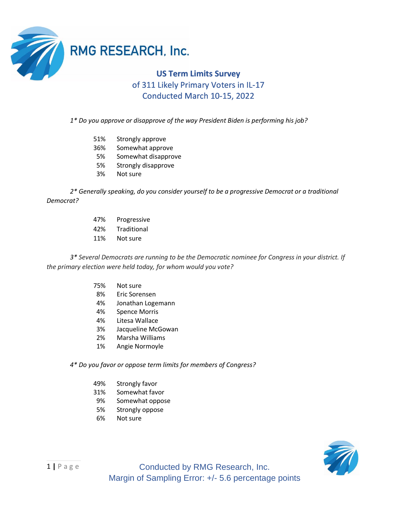

## **RMG RESEARCH, Inc.**

## **US Term Limits Survey** of 311 Likely Primary Voters in IL-17 Conducted March 10-15, 2022

*1\* Do you approve or disapprove of the way President Biden is performing his job?*

- 51% Strongly approve
- 36% Somewhat approve
- 5% Somewhat disapprove
- 5% Strongly disapprove
- 3% Not sure

*2\* Generally speaking, do you consider yourself to be a progressive Democrat or a traditional Democrat?*

- 47% Progressive
- 42% Traditional
- 11% Not sure

*3\* Several Democrats are running to be the Democratic nominee for Congress in your district. If the primary election were held today, for whom would you vote?*

- 75% Not sure
- 8% Eric Sorensen
- 4% Jonathan Logemann
- 4% Spence Morris
- 4% Litesa Wallace
- 3% Jacqueline McGowan
- 2% Marsha Williams
- 1% Angie Normoyle

## *4\* Do you favor or oppose term limits for members of Congress?*

- 49% Strongly favor
- 31% Somewhat favor
- 9% Somewhat oppose
- 5% Strongly oppose
- 6% Not sure